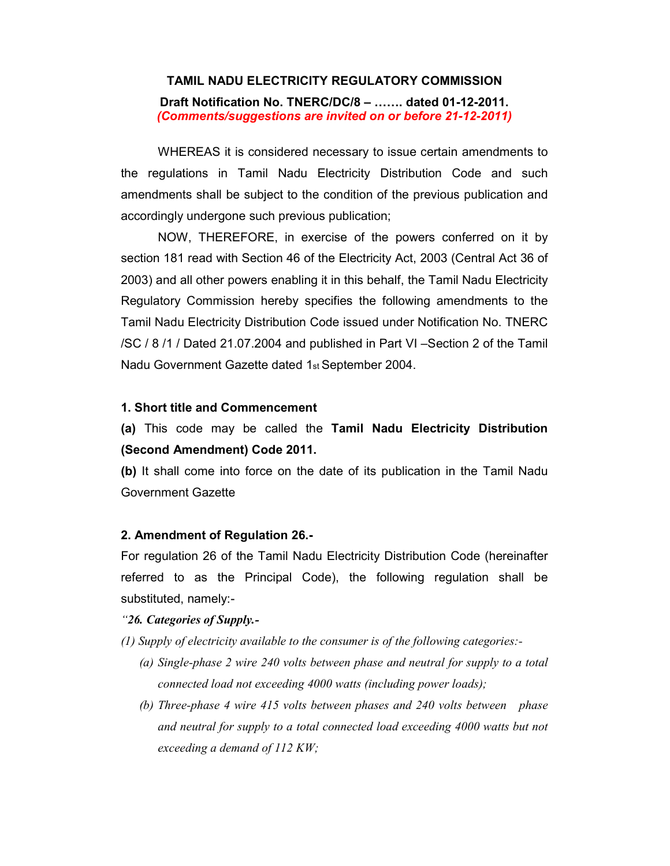# TAMIL NADU ELECTRICITY REGULATORY COMMISSION

Draft Notification No. TNERC/DC/8 – ……. dated 01-12-2011. (Comments/suggestions are invited on or before 21-12-2011)

WHEREAS it is considered necessary to issue certain amendments to the regulations in Tamil Nadu Electricity Distribution Code and such amendments shall be subject to the condition of the previous publication and accordingly undergone such previous publication;

NOW, THEREFORE, in exercise of the powers conferred on it by section 181 read with Section 46 of the Electricity Act, 2003 (Central Act 36 of 2003) and all other powers enabling it in this behalf, the Tamil Nadu Electricity Regulatory Commission hereby specifies the following amendments to the Tamil Nadu Electricity Distribution Code issued under Notification No. TNERC /SC / 8 /1 / Dated 21.07.2004 and published in Part VI –Section 2 of the Tamil Nadu Government Gazette dated 1st September 2004.

#### 1. Short title and Commencement

(a) This code may be called the Tamil Nadu Electricity Distribution (Second Amendment) Code 2011.

(b) It shall come into force on the date of its publication in the Tamil Nadu Government Gazette

## 2. Amendment of Regulation 26.-

For regulation 26 of the Tamil Nadu Electricity Distribution Code (hereinafter referred to as the Principal Code), the following regulation shall be substituted, namely:-

# "26. Categories of Supply.-

(1) Supply of electricity available to the consumer is of the following categories:-

- (a) Single-phase 2 wire 240 volts between phase and neutral for supply to a total connected load not exceeding 4000 watts (including power loads);
- (b) Three-phase 4 wire 415 volts between phases and 240 volts between phase and neutral for supply to a total connected load exceeding 4000 watts but not exceeding a demand of 112 KW;